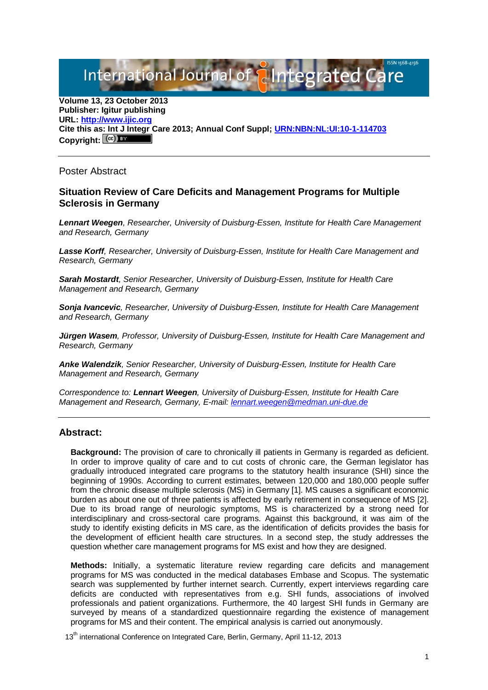International Journal of **Plntegrated** 

**Volume 13, 23 October 2013 Publisher: Igitur publishing URL[: http://www.ijic.org](http://www.ijic.org/) Cite this as: Int J Integr Care 2013; Annual Conf Suppl; [URN:NBN:NL:UI:10-1-114703](http://persistent-identifier.nl/?identifier=URN:NBN:NL:UI:10-1-114703)** Copyright:  $(cc)$ 

Poster Abstract

## **Situation Review of Care Deficits and Management Programs for Multiple Sclerosis in Germany**

*Lennart Weegen, Researcher, University of Duisburg-Essen, Institute for Health Care Management and Research, Germany*

*Lasse Korff, Researcher, University of Duisburg-Essen, Institute for Health Care Management and Research, Germany*

*Sarah Mostardt, Senior Researcher, University of Duisburg-Essen, Institute for Health Care Management and Research, Germany*

*Sonja Ivancevic, Researcher, University of Duisburg-Essen, Institute for Health Care Management and Research, Germany*

*Jürgen Wasem, Professor, University of Duisburg-Essen, Institute for Health Care Management and Research, Germany*

*Anke Walendzik, Senior Researcher, University of Duisburg-Essen, Institute for Health Care Management and Research, Germany*

*Correspondence to: Lennart Weegen, University of Duisburg-Essen, Institute for Health Care Management and Research, Germany, E-mail: [lennart.weegen@medman.uni-due.de](mailto:lennart.weegen@medman.uni-due.de)*

## **Abstract:**

**Background:** The provision of care to chronically ill patients in Germany is regarded as deficient. In order to improve quality of care and to cut costs of chronic care, the German legislator has gradually introduced integrated care programs to the statutory health insurance (SHI) since the beginning of 1990s. According to current estimates, between 120,000 and 180,000 people suffer from the chronic disease multiple sclerosis (MS) in Germany [1]. MS causes a significant economic burden as about one out of three patients is affected by early retirement in consequence of MS [2]. Due to its broad range of neurologic symptoms, MS is characterized by a strong need for interdisciplinary and cross-sectoral care programs. Against this background, it was aim of the study to identify existing deficits in MS care, as the identification of deficits provides the basis for the development of efficient health care structures. In a second step, the study addresses the question whether care management programs for MS exist and how they are designed.

**Methods:** Initially, a systematic literature review regarding care deficits and management programs for MS was conducted in the medical databases Embase and Scopus. The systematic search was supplemented by further internet search. Currently, expert interviews regarding care deficits are conducted with representatives from e.g. SHI funds, associations of involved professionals and patient organizations. Furthermore, the 40 largest SHI funds in Germany are surveyed by means of a standardized questionnaire regarding the existence of management programs for MS and their content. The empirical analysis is carried out anonymously.

13<sup>th</sup> international Conference on Integrated Care, Berlin, Germany, April 11-12, 2013